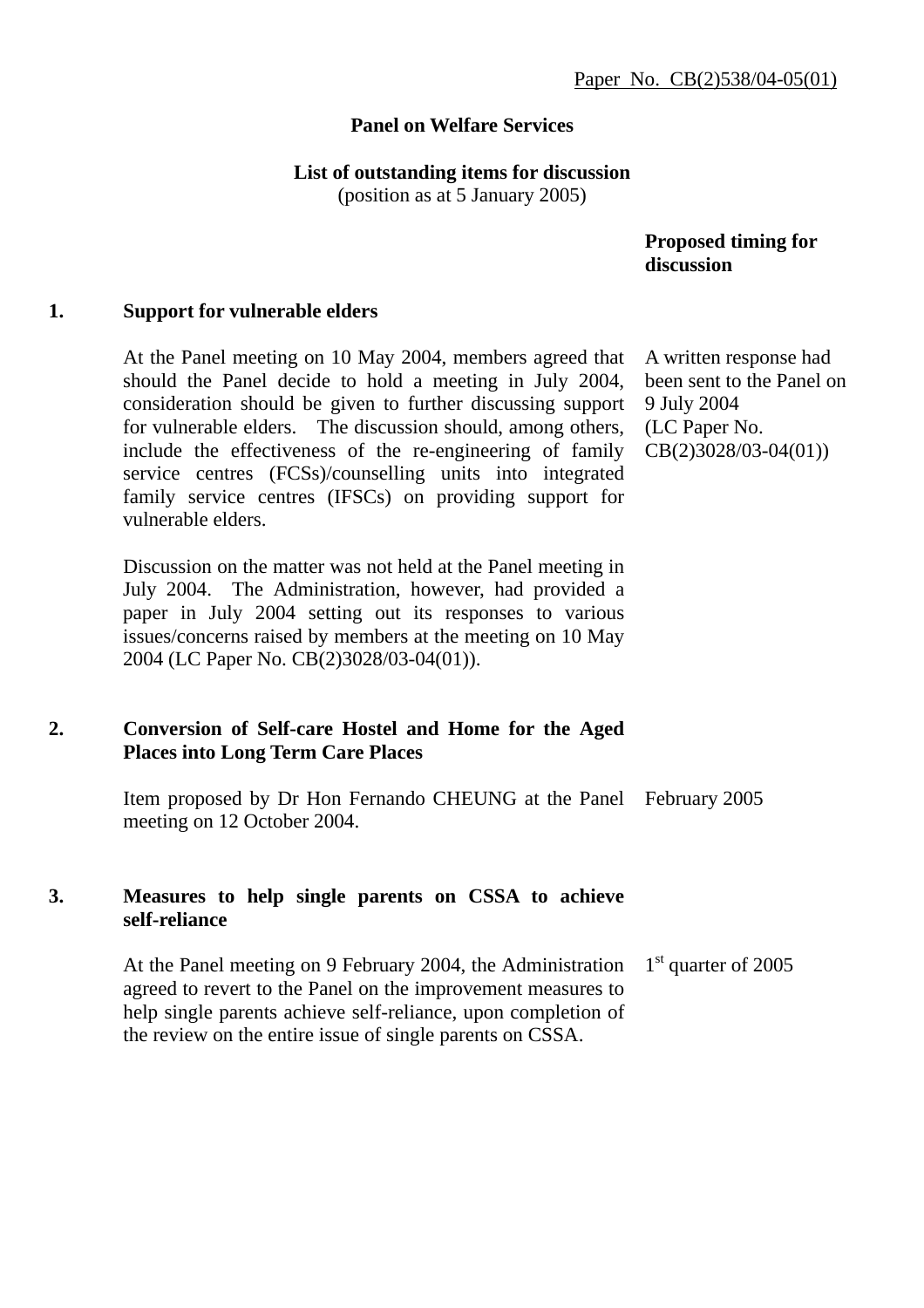## **Panel on Welfare Services**

### **List of outstanding items for discussion**

(position as at 5 January 2005)

 **Proposed timing for discussion** 

#### **1. Support for vulnerable elders**

At the Panel meeting on 10 May 2004, members agreed that should the Panel decide to hold a meeting in July 2004, consideration should be given to further discussing support for vulnerable elders. The discussion should, among others, include the effectiveness of the re-engineering of family service centres (FCSs)/counselling units into integrated family service centres (IFSCs) on providing support for vulnerable elders.

Discussion on the matter was not held at the Panel meeting in July 2004. The Administration, however, had provided a paper in July 2004 setting out its responses to various issues/concerns raised by members at the meeting on 10 May 2004 (LC Paper No. CB(2)3028/03-04(01)).

## **2. Conversion of Self-care Hostel and Home for the Aged Places into Long Term Care Places**

Item proposed by Dr Hon Fernando CHEUNG at the Panel February 2005 meeting on 12 October 2004.

## **3. Measures to help single parents on CSSA to achieve self-reliance**

At the Panel meeting on 9 February 2004, the Administration agreed to revert to the Panel on the improvement measures to help single parents achieve self-reliance, upon completion of the review on the entire issue of single parents on CSSA. 1<sup>st</sup> quarter of 2005

A written response had been sent to the Panel on 9 July 2004 (LC Paper No. CB(2)3028/03-04(01))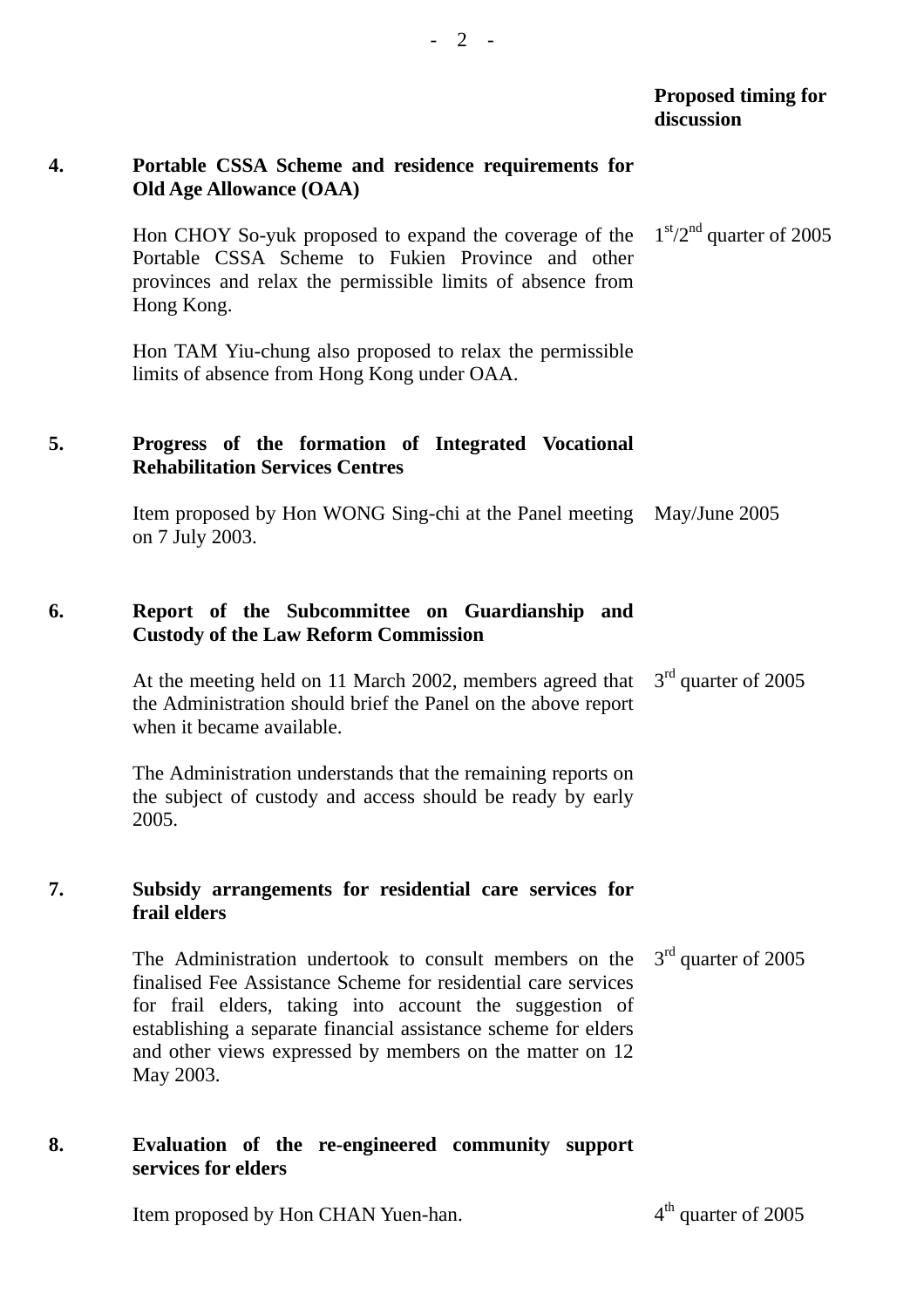|    |                                                                                                                                                                                                                                                                                                                               | <b>Proposed timing for</b><br>discussion |
|----|-------------------------------------------------------------------------------------------------------------------------------------------------------------------------------------------------------------------------------------------------------------------------------------------------------------------------------|------------------------------------------|
| 4. | Portable CSSA Scheme and residence requirements for<br><b>Old Age Allowance (OAA)</b>                                                                                                                                                                                                                                         |                                          |
|    | Hon CHOY So-yuk proposed to expand the coverage of the $1st/2nd$ quarter of 2005<br>Portable CSSA Scheme to Fukien Province and other<br>provinces and relax the permissible limits of absence from<br>Hong Kong.                                                                                                             |                                          |
|    | Hon TAM Yiu-chung also proposed to relax the permissible<br>limits of absence from Hong Kong under OAA.                                                                                                                                                                                                                       |                                          |
| 5. | Progress of the formation of Integrated Vocational<br><b>Rehabilitation Services Centres</b>                                                                                                                                                                                                                                  |                                          |
|    | Item proposed by Hon WONG Sing-chi at the Panel meeting May/June 2005<br>on 7 July 2003.                                                                                                                                                                                                                                      |                                          |
| 6. | Report of the Subcommittee on Guardianship and<br><b>Custody of the Law Reform Commission</b>                                                                                                                                                                                                                                 |                                          |
|    | At the meeting held on 11 March 2002, members agreed that<br>the Administration should brief the Panel on the above report<br>when it became available.                                                                                                                                                                       | $3rd$ quarter of 2005                    |
|    | The Administration understands that the remaining reports on<br>the subject of custody and access should be ready by early<br>2005.                                                                                                                                                                                           |                                          |
| 7. | Subsidy arrangements for residential care services for<br>frail elders                                                                                                                                                                                                                                                        |                                          |
|    | The Administration undertook to consult members on the<br>finalised Fee Assistance Scheme for residential care services<br>for frail elders, taking into account the suggestion of<br>establishing a separate financial assistance scheme for elders<br>and other views expressed by members on the matter on 12<br>May 2003. | $3rd$ quarter of 2005                    |
| 8. | Evaluation of the re-engineered community support<br>services for elders                                                                                                                                                                                                                                                      |                                          |

Item proposed by Hon CHAN Yuen-han. 4<sup>th</sup> quarter of 2005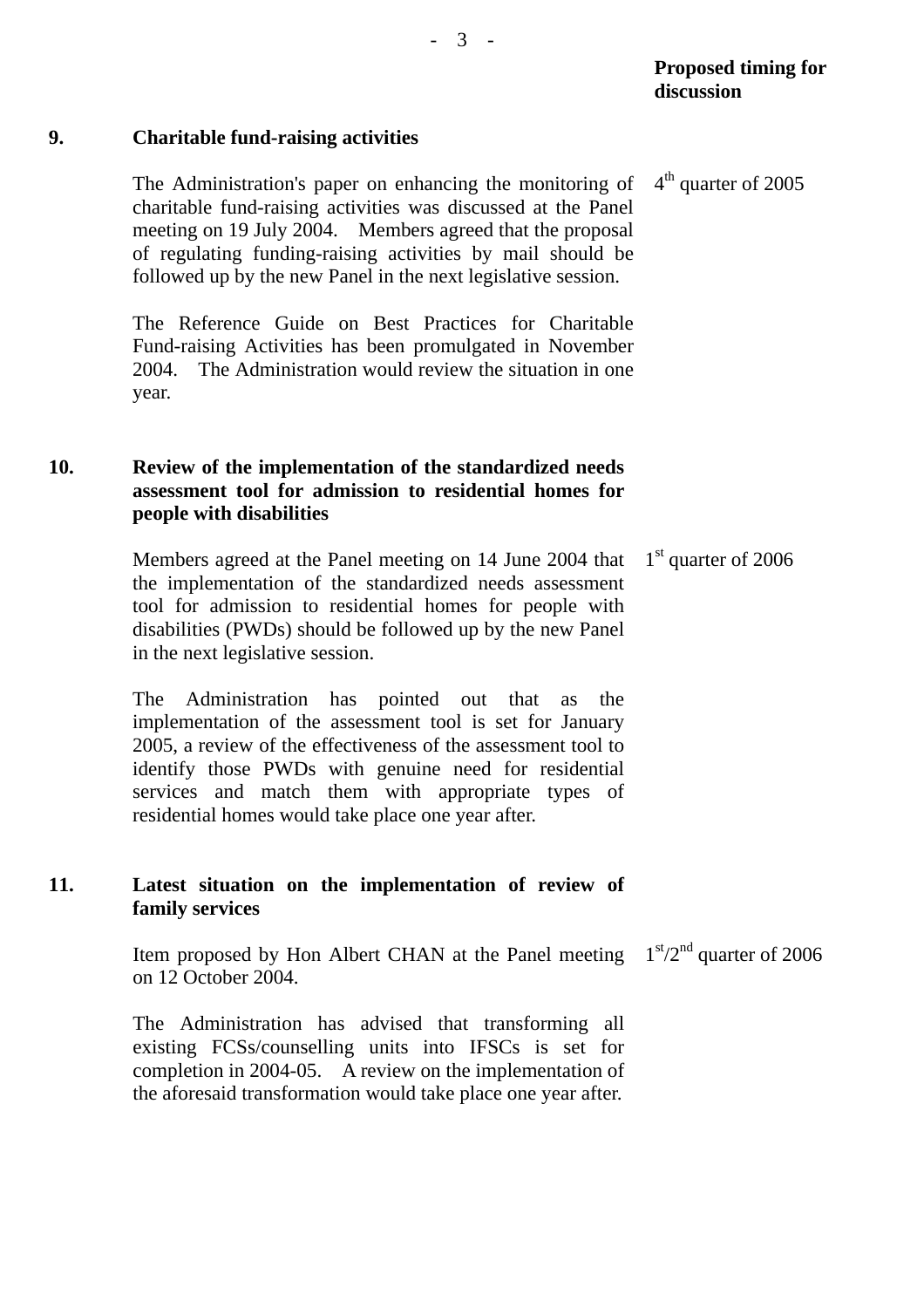# **9. Charitable fund-raising activities**

The Administration's paper on enhancing the monitoring of charitable fund-raising activities was discussed at the Panel meeting on 19 July 2004. Members agreed that the proposal of regulating funding-raising activities by mail should be followed up by the new Panel in the next legislative session.  $4<sup>th</sup>$  quarter of 2005

The Reference Guide on Best Practices for Charitable Fund-raising Activities has been promulgated in November 2004. The Administration would review the situation in one year.

# **10. Review of the implementation of the standardized needs assessment tool for admission to residential homes for people with disabilities**

Members agreed at the Panel meeting on 14 June 2004 that the implementation of the standardized needs assessment tool for admission to residential homes for people with disabilities (PWDs) should be followed up by the new Panel in the next legislative session. 1<sup>st</sup> quarter of 2006

The Administration has pointed out that as the implementation of the assessment tool is set for January 2005, a review of the effectiveness of the assessment tool to identify those PWDs with genuine need for residential services and match them with appropriate types of residential homes would take place one year after.

# **11. Latest situation on the implementation of review of family services**

Item proposed by Hon Albert CHAN at the Panel meeting  $1<sup>st</sup>/2<sup>nd</sup>$  quarter of 2006 on 12 October 2004.

The Administration has advised that transforming all existing FCSs/counselling units into IFSCs is set for completion in 2004-05. A review on the implementation of the aforesaid transformation would take place one year after.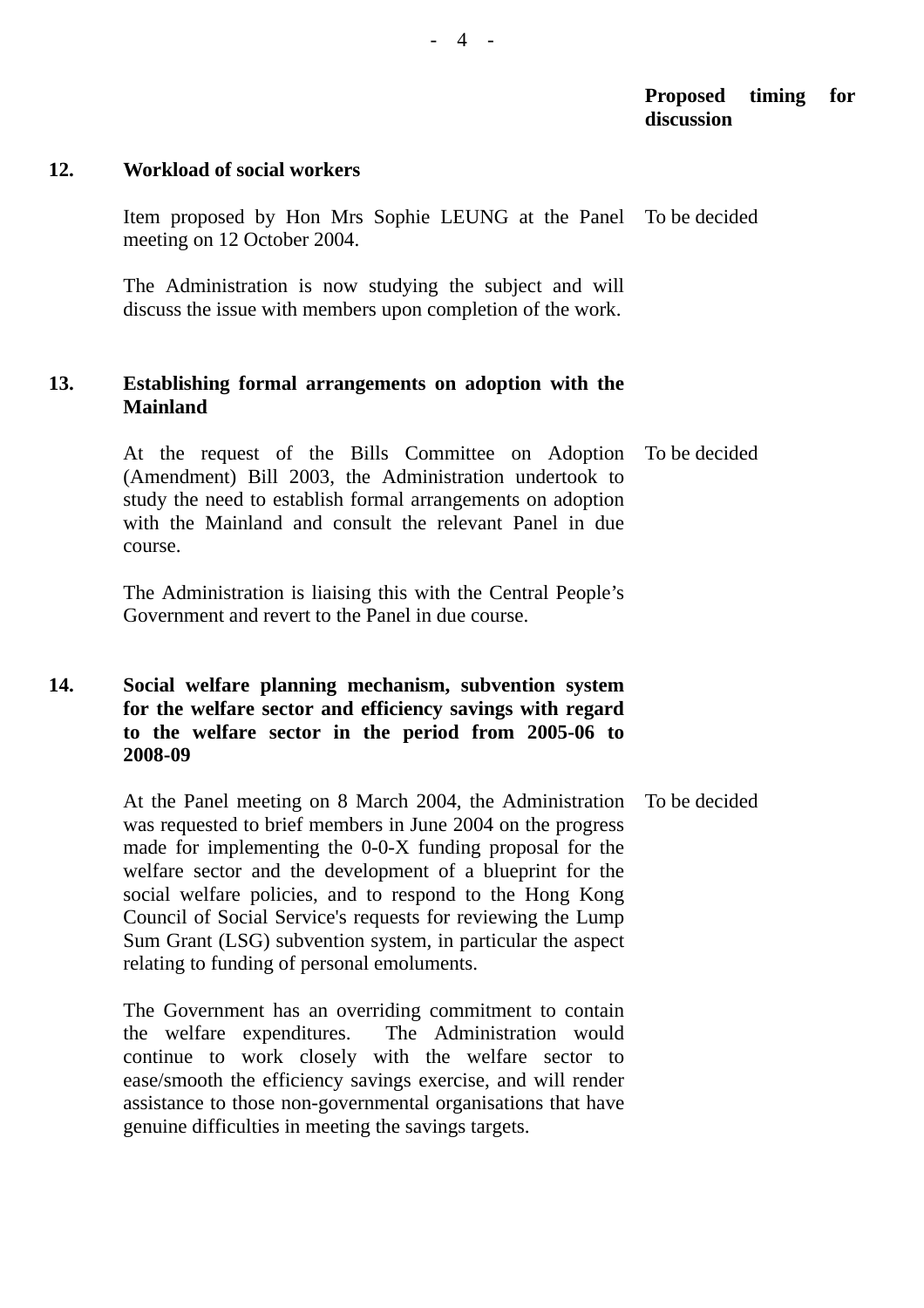### **Proposed timing for discussion**

#### **12. Workload of social workers**

Item proposed by Hon Mrs Sophie LEUNG at the Panel To be decided meeting on 12 October 2004.

The Administration is now studying the subject and will discuss the issue with members upon completion of the work.

## **13. Establishing formal arrangements on adoption with the Mainland**

At the request of the Bills Committee on Adoption (Amendment) Bill 2003, the Administration undertook to study the need to establish formal arrangements on adoption with the Mainland and consult the relevant Panel in due course. To be decided

The Administration is liaising this with the Central People's Government and revert to the Panel in due course.

## **14. Social welfare planning mechanism, subvention system for the welfare sector and efficiency savings with regard to the welfare sector in the period from 2005-06 to 2008-09**

At the Panel meeting on 8 March 2004, the Administration was requested to brief members in June 2004 on the progress made for implementing the 0-0-X funding proposal for the welfare sector and the development of a blueprint for the social welfare policies, and to respond to the Hong Kong Council of Social Service's requests for reviewing the Lump Sum Grant (LSG) subvention system, in particular the aspect relating to funding of personal emoluments. To be decided

The Government has an overriding commitment to contain the welfare expenditures. The Administration would continue to work closely with the welfare sector to ease/smooth the efficiency savings exercise, and will render assistance to those non-governmental organisations that have genuine difficulties in meeting the savings targets.